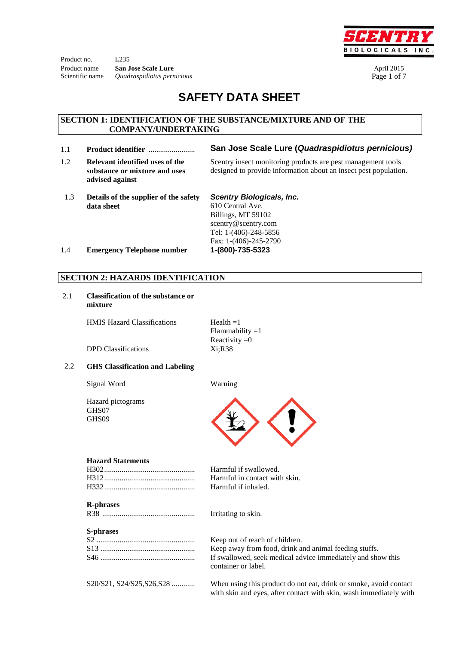Product no. L235 Product name **San Jose Scale Lure April 2015** Scientific name *Quadraspidiotus pernicious* Page 1 of 7



# **SAFETY DATA SHEET**

#### **SECTION 1: IDENTIFICATION OF THE SUBSTANCE/MIXTURE AND OF THE COMPANY/UNDERTAKING**

- 1.1 **Product identifier** ........................ **San Jose Scale Lure (***Quadraspidiotus pernicious)*
- 1.2 **Relevant identified uses of the substance or mixture and uses advised against**
- Scentry insect monitoring products are pest management tools designed to provide information about an insect pest population.
- 1.3 **Details of the supplier of the safety data sheet**

*Scentry Biologicals, Inc.* 

610 Central Ave. Billings, MT 59102 scentry@scentry.com Tel: 1-(406)-248-5856 Fax: 1-(406)-245-2790

1.4 **Emergency Telephone number 1-(800)-735-5323**

#### **SECTION 2: HAZARDS IDENTIFICATION**

2.1 **Classification of the substance or mixture**

HMIS Hazard Classifications  $Health =1$ 

Flammability  $=1$ Reactivity  $=0$ 

DPD Classifications Xi;R38

#### 2.2 **GHS Classification and Labeling**

Signal Word Warning

Hazard pictograms GHS07 GHS09



#### **Hazard Statements**

#### **R-phrases**

R38 ................................................ Irritating to skin.

#### **S-phrases**

Harmful if swallowed. Harmful in contact with skin. Harmful if inhaled.

Keep out of reach of children. Keep away from food, drink and animal feeding stuffs. If swallowed, seek medical advice immediately and show this container or label.

S20/S21, S24/S25,S26,S28 ............ When using this product do not eat, drink or smoke, avoid contact with skin and eyes, after contact with skin, wash immediately with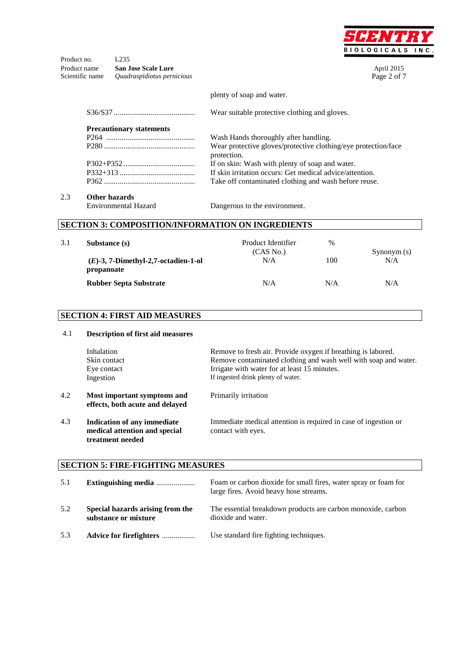

Product no. L235 Product name **San Jose Scale Lure April 2015** Scientific name *Quadraspidiotus pernicious* Page 2 of 7

plenty of soap and water.

S36/S37 .......................................... Wear suitable protective clothing and gloves. **Precautionary statements** P264 .............................................. P280 ............................................... P302+P352 ..................................... P332+313 ....................................... P362 ............................................... Wash Hands thoroughly after handling. Wear protective gloves/protective clothing/eye protection/face protection. If on skin: Wash with plenty of soap and water. If skin irritation occurs: Get medical advice/attention. Take off contaminated clothing and wash before reuse.

### 2.3 **Other hazards**

Environmental Hazard Dangerous to the environment.

### **SECTION 3: COMPOSITION/INFORMATION ON INGREDIENTS**

| 3.1 | Substance (s)                                        | Product Identifier<br>(CAS No.) | $\%$ | Synonym $(s)$ |
|-----|------------------------------------------------------|---------------------------------|------|---------------|
|     | $(E)$ -3, 7-Dimethyl-2,7-octadien-1-ol<br>propanoate | N/A                             | 100  | N/A           |
|     | <b>Rubber Septa Substrate</b>                        | N/A                             | N/A  | N/A           |

#### **SECTION 4: FIRST AID MEASURES**

| 4.1 | <b>Description of first aid measures</b>                                         |                                                                                       |  |  |  |  |  |
|-----|----------------------------------------------------------------------------------|---------------------------------------------------------------------------------------|--|--|--|--|--|
|     | Inhalation                                                                       | Remove to fresh air. Provide oxygen if breathing is labored.                          |  |  |  |  |  |
|     | Skin contact                                                                     | Remove contaminated clothing and wash well with soap and water.                       |  |  |  |  |  |
|     | Eye contact                                                                      | Irrigate with water for at least 15 minutes.                                          |  |  |  |  |  |
|     | Ingestion                                                                        | If ingested drink plenty of water.                                                    |  |  |  |  |  |
| 4.2 | Most important symptoms and<br>effects, both acute and delayed                   | Primarily irritation                                                                  |  |  |  |  |  |
| 4.3 | Indication of any immediate<br>medical attention and special<br>treatment needed | Immediate medical attention is required in case of ingestion or<br>contact with eyes. |  |  |  |  |  |

#### **SECTION 5: FIRE-FIGHTING MEASURES**

| 5.1 | Extinguishing media                                      | Foam or carbon dioxide for small fires, water spray or foam for<br>large fires. Avoid heavy hose streams. |
|-----|----------------------------------------------------------|-----------------------------------------------------------------------------------------------------------|
| 5.2 | Special hazards arising from the<br>substance or mixture | The essential breakdown products are carbon monoxide, carbon<br>dioxide and water.                        |
| 5.3 | Advice for firefighters                                  | Use standard fire fighting techniques.                                                                    |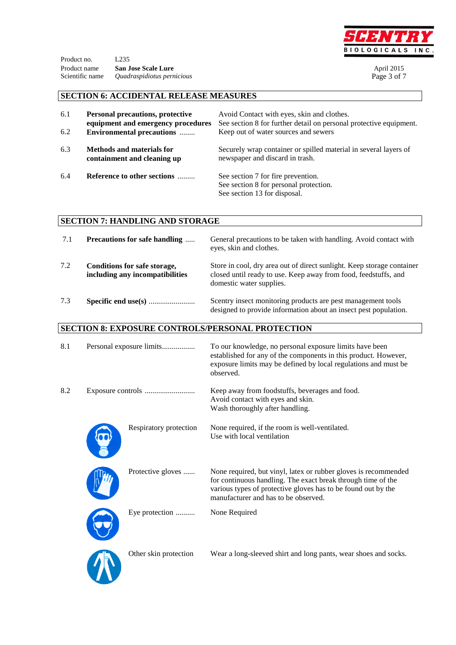

| Product no.  |                                                   |                   |
|--------------|---------------------------------------------------|-------------------|
| Product name | <b>San Jose Scale Lure</b>                        | <b>April 2015</b> |
|              | Scientific name <i>Quadraspidiotus pernicious</i> | Page 3 of 7       |

# **SECTION 6: ACCIDENTAL RELEASE MEASURES**

| 6.1<br>6.2 | <b>Personal precautions, protective</b><br>equipment and emergency procedures<br><b>Environmental precautions </b> | Avoid Contact with eyes, skin and clothes.<br>See section 8 for further detail on personal protective equipment.<br>Keep out of water sources and sewers |
|------------|--------------------------------------------------------------------------------------------------------------------|----------------------------------------------------------------------------------------------------------------------------------------------------------|
| 6.3        | <b>Methods and materials for</b><br>containment and cleaning up                                                    | Securely wrap container or spilled material in several layers of<br>newspaper and discard in trash.                                                      |
| 6.4        | Reference to other sections                                                                                        | See section 7 for fire prevention.<br>See section 8 for personal protection.<br>See section 13 for disposal.                                             |

# **SECTION 7: HANDLING AND STORAGE**

 $\boldsymbol{J}$ 

| 7.1 | <b>Precautions for safe handling </b>                           | General precautions to be taken with handling. Avoid contact with<br>eyes, skin and clothes.                                                                          |
|-----|-----------------------------------------------------------------|-----------------------------------------------------------------------------------------------------------------------------------------------------------------------|
| 7.2 | Conditions for safe storage,<br>including any incompatibilities | Store in cool, dry area out of direct sunlight. Keep storage container<br>closed until ready to use. Keep away from food, feedstuffs, and<br>domestic water supplies. |
| 7.3 |                                                                 | Scentry insect monitoring products are pest management tools<br>designed to provide information about an insect pest population.                                      |

# **SECTION 8: EXPOSURE CONTROLS/PERSONAL PROTECTION**

| 8.1 | Personal exposure limits |                        | To our knowledge, no personal exposure limits have been<br>established for any of the components in this product. However,<br>exposure limits may be defined by local regulations and must be<br>observed.                               |
|-----|--------------------------|------------------------|------------------------------------------------------------------------------------------------------------------------------------------------------------------------------------------------------------------------------------------|
| 8.2 |                          |                        | Keep away from foodstuffs, beverages and food.<br>Avoid contact with eyes and skin.<br>Wash thoroughly after handling.                                                                                                                   |
|     |                          | Respiratory protection | None required, if the room is well-ventilated.<br>Use with local ventilation                                                                                                                                                             |
|     |                          | Protective gloves      | None required, but vinyl, latex or rubber gloves is recommended<br>for continuous handling. The exact break through time of the<br>various types of protective gloves has to be found out by the<br>manufacturer and has to be observed. |
|     |                          | Eye protection         | None Required                                                                                                                                                                                                                            |
|     |                          | Other skin protection  | Wear a long-sleeved shirt and long pants, wear shoes and socks.                                                                                                                                                                          |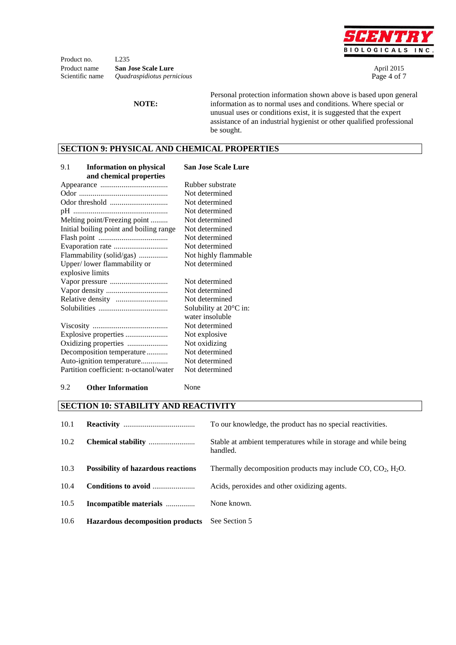

Product no. L<sub>235</sub> Product name **San Jose Scale Lure April 2015** Scientific name *Quadraspidiotus pernicious* Page 4 of 7

**NOTE:**

Personal protection information shown above is based upon general information as to normal uses and conditions. Where special or unusual uses or conditions exist, it is suggested that the expert assistance of an industrial hygienist or other qualified professional be sought.

#### **SECTION 9: PHYSICAL AND CHEMICAL PROPERTIES**

| 9.1<br><b>Information on physical</b>   | <b>San Jose Scale Lure</b>       |
|-----------------------------------------|----------------------------------|
| and chemical properties                 | Rubber substrate                 |
|                                         |                                  |
|                                         | Not determined                   |
|                                         | Not determined                   |
|                                         | Not determined                   |
| Melting point/Freezing point            | Not determined                   |
| Initial boiling point and boiling range | Not determined                   |
|                                         | Not determined                   |
|                                         | Not determined                   |
| Flammability (solid/gas)                | Not highly flammable             |
| Upper/lower flammability or             | Not determined                   |
| explosive limits                        |                                  |
| Vapor pressure                          | Not determined                   |
|                                         | Not determined                   |
| Relative density                        | Not determined                   |
|                                         | Solubility at $20^{\circ}$ C in: |
|                                         | water insoluble                  |
|                                         | Not determined                   |
|                                         | Not explosive                    |
| Oxidizing properties                    | Not oxidizing                    |
| Decomposition temperature               | Not determined                   |
| Auto-ignition temperature               | Not determined                   |
| Partition coefficient: n-octanol/water  | Not determined                   |

#### 9.2 **Other Information** None

### **SECTION 10: STABILITY AND REACTIVITY**

| 10.1 |                                           | To our knowledge, the product has no special reactivities.                  |
|------|-------------------------------------------|-----------------------------------------------------------------------------|
| 10.2 |                                           | Stable at ambient temperatures while in storage and while being<br>handled. |
| 10.3 | <b>Possibility of hazardous reactions</b> | Thermally decomposition products may include $CO$ , $CO_2$ , $H_2O$ .       |
| 10.4 | Conditions to avoid                       | Acids, peroxides and other oxidizing agents.                                |
| 10.5 | Incompatible materials                    | None known.                                                                 |
| 10.6 | <b>Hazardous decomposition products</b>   | See Section 5                                                               |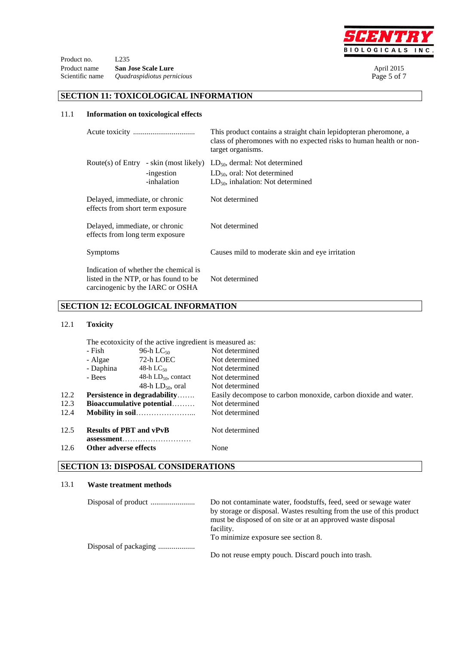

Product no. L<sub>235</sub> Product name **San Jose Scale Lure** April 2015<br> **Scientific name** Quadraspidiotus pernicious Page 5 of 7 Scientific name *Quadraspidiotus pernicious* 

#### **SECTION 11: TOXICOLOGICAL INFORMATION**

#### 11.1 **Information on toxicological effects**

|                                                                                                                    |                           | This product contains a straight chain lepidopteran pheromone, a<br>class of pheromones with no expected risks to human health or non-<br>target organisms. |  |  |
|--------------------------------------------------------------------------------------------------------------------|---------------------------|-------------------------------------------------------------------------------------------------------------------------------------------------------------|--|--|
| Route(s) of Entry - skin (most likely)                                                                             | -ingestion<br>-inhalation | $LD_{50}$ , dermal: Not determined<br>$LD_{50}$ , oral: Not determined<br>$LD_{50}$ , inhalation: Not determined                                            |  |  |
| Delayed, immediate, or chronic<br>effects from short term exposure                                                 |                           | Not determined                                                                                                                                              |  |  |
| Delayed, immediate, or chronic<br>effects from long term exposure                                                  |                           | Not determined                                                                                                                                              |  |  |
| Symptoms                                                                                                           |                           | Causes mild to moderate skin and eye irritation                                                                                                             |  |  |
| Indication of whether the chemical is<br>listed in the NTP, or has found to be<br>carcinogenic by the IARC or OSHA |                           | Not determined                                                                                                                                              |  |  |

### **SECTION 12: ECOLOGICAL INFORMATION**

#### 12.1 **Toxicity**

|      | The ecotoxicity of the active ingredient is measured as:                          |                          |                                                                |  |
|------|-----------------------------------------------------------------------------------|--------------------------|----------------------------------------------------------------|--|
|      | - Fish<br>96-h L $C_{50}$<br>72-h LOEC<br>- Algae<br>- Daphina<br>48-h L $C_{50}$ |                          | Not determined                                                 |  |
|      |                                                                                   |                          | Not determined<br>Not determined                               |  |
|      |                                                                                   |                          |                                                                |  |
|      | - Bees                                                                            | 48-h $LD_{50}$ , contact | Not determined                                                 |  |
|      |                                                                                   | 48-h $LD_{50}$ , oral    | Not determined                                                 |  |
| 12.2 | <b>Persistence in degradability</b>                                               |                          | Easily decompose to carbon monoxide, carbon dioxide and water. |  |
| 12.3 | <b>Bioaccumulative potential</b>                                                  |                          | Not determined                                                 |  |
| 12.4 |                                                                                   |                          | Not determined                                                 |  |
| 12.5 | <b>Results of PBT and vPvB</b>                                                    |                          | Not determined                                                 |  |
| 12.6 | Other adverse effects                                                             |                          | None                                                           |  |
|      |                                                                                   |                          |                                                                |  |

# **SECTION 13: DISPOSAL CONSIDERATIONS**

#### 13.1 **Waste treatment methods**

| Do not contaminate water, foodstuffs, feed, seed or sewage water<br>by storage or disposal. Wastes resulting from the use of this product |  |
|-------------------------------------------------------------------------------------------------------------------------------------------|--|
| must be disposed of on site or at an approved waste disposal                                                                              |  |
| facility.                                                                                                                                 |  |
| To minimize exposure see section 8.                                                                                                       |  |
|                                                                                                                                           |  |
|                                                                                                                                           |  |
| Do not reuse empty pouch. Discard pouch into trash.                                                                                       |  |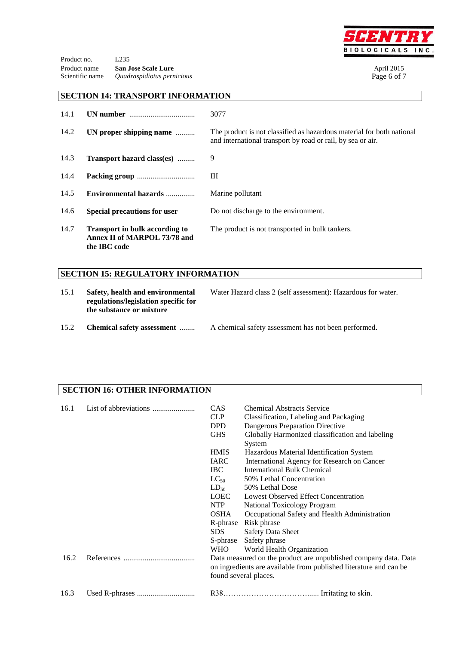

Product no. L235 Product name **San Jose Scale Lure** April 2015<br> **Scientific name** Quadraspidiotus permicious Page 6 of 7  $Quadraspidiotus pernicious$ 

#### **SECTION 14: TRANSPORT INFORMATION**

| 14.1 | UN number                                                                             | 3077                                                                                                                                 |
|------|---------------------------------------------------------------------------------------|--------------------------------------------------------------------------------------------------------------------------------------|
| 14.2 | UN proper shipping name                                                               | The product is not classified as hazardous material for both national<br>and international transport by road or rail, by sea or air. |
| 14.3 | <b>Transport hazard class(es)</b>                                                     | 9                                                                                                                                    |
| 14.4 |                                                                                       | Ш                                                                                                                                    |
| 14.5 | Environmental hazards                                                                 | Marine pollutant                                                                                                                     |
| 14.6 | <b>Special precautions for user</b>                                                   | Do not discharge to the environment.                                                                                                 |
| 14.7 | <b>Transport in bulk according to</b><br>Annex II of MARPOL 73/78 and<br>the IBC code | The product is not transported in bulk tankers.                                                                                      |

## **SECTION 15: REGULATORY INFORMATION**

| 15.1 | Safety, health and environmental<br>regulations/legislation specific for<br>the substance or mixture | Water Hazard class 2 (self assessment): Hazardous for water. |  |
|------|------------------------------------------------------------------------------------------------------|--------------------------------------------------------------|--|
| 15.2 | <b>Chemical safety assessment</b>                                                                    | A chemical safety assessment has not been performed.         |  |

### **SECTION 16: OTHER INFORMATION**

| 16.1 | <b>CAS</b><br><b>CLP</b><br><b>DPD</b><br><b>GHS</b>                                                                                                          | <b>Chemical Abstracts Service</b><br>Classification, Labeling and Packaging<br>Dangerous Preparation Directive<br>Globally Harmonized classification and labeling<br>System |  |
|------|---------------------------------------------------------------------------------------------------------------------------------------------------------------|-----------------------------------------------------------------------------------------------------------------------------------------------------------------------------|--|
|      | <b>HMIS</b>                                                                                                                                                   | Hazardous Material Identification System                                                                                                                                    |  |
|      | <b>IARC</b>                                                                                                                                                   | International Agency for Research on Cancer                                                                                                                                 |  |
|      | IBC -                                                                                                                                                         | <b>International Bulk Chemical</b>                                                                                                                                          |  |
|      | $LC_{50}$                                                                                                                                                     | 50% Lethal Concentration                                                                                                                                                    |  |
|      | $LD_{50}$                                                                                                                                                     | 50% Lethal Dose                                                                                                                                                             |  |
|      | LOEC                                                                                                                                                          | Lowest Observed Effect Concentration                                                                                                                                        |  |
|      | <b>NTP</b>                                                                                                                                                    | <b>National Toxicology Program</b>                                                                                                                                          |  |
|      | <b>OSHA</b>                                                                                                                                                   | Occupational Safety and Health Administration                                                                                                                               |  |
|      | R-phrase                                                                                                                                                      | Risk phrase                                                                                                                                                                 |  |
|      | SDS.                                                                                                                                                          | <b>Safety Data Sheet</b>                                                                                                                                                    |  |
|      | S-phrase                                                                                                                                                      | Safety phrase                                                                                                                                                               |  |
|      | <b>WHO</b>                                                                                                                                                    | World Health Organization                                                                                                                                                   |  |
| 16.2 | Data measured on the product are unpublished company data. Data<br>on ingredients are available from published literature and can be<br>found several places. |                                                                                                                                                                             |  |
| 16.3 |                                                                                                                                                               |                                                                                                                                                                             |  |